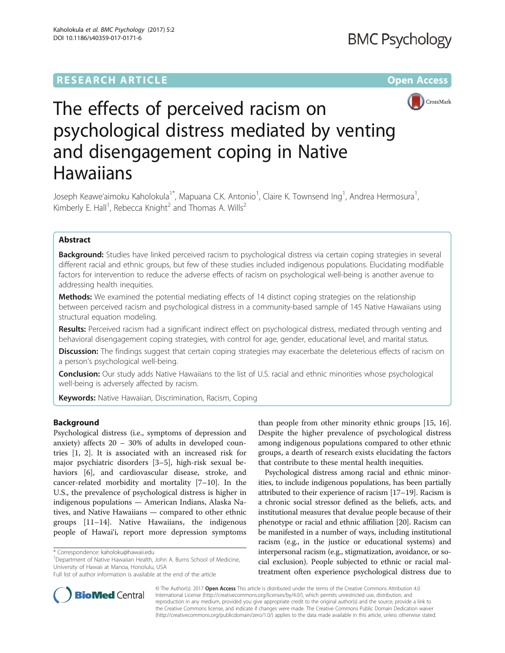## **RESEARCH ARTICLE Example 2018 12:00 Department 2018 12:00 Department 2018 12:00 Department 2018 12:00 Department 2018 12:00 Department 2018 12:00 Department 2018 12:00 Department 2018 12:00 Department 2018 12:00 Departm**



# The effects of perceived racism on psychological distress mediated by venting and disengagement coping in Native **Hawaiians**

Joseph Keawe'aimoku Kaholokula<sup>1\*</sup>, Mapuana C.K. Antonio<sup>1</sup>, Claire K. Townsend Ing<sup>1</sup>, Andrea Hermosura<sup>1</sup> , Kimberly E. Hall<sup>1</sup>, Rebecca Knight<sup>2</sup> and Thomas A. Wills<sup>2</sup>

### Abstract

Background: Studies have linked perceived racism to psychological distress via certain coping strategies in several different racial and ethnic groups, but few of these studies included indigenous populations. Elucidating modifiable factors for intervention to reduce the adverse effects of racism on psychological well-being is another avenue to addressing health inequities.

Methods: We examined the potential mediating effects of 14 distinct coping strategies on the relationship between perceived racism and psychological distress in a community-based sample of 145 Native Hawaiians using structural equation modeling.

Results: Perceived racism had a significant indirect effect on psychological distress, mediated through venting and behavioral disengagement coping strategies, with control for age, gender, educational level, and marital status.

**Discussion:** The findings suggest that certain coping strategies may exacerbate the deleterious effects of racism on a person's psychological well-being.

**Conclusion:** Our study adds Native Hawaiians to the list of U.S. racial and ethnic minorities whose psychological well-being is adversely affected by racism.

Keywords: Native Hawaiian, Discrimination, Racism, Coping

#### Background

Psychological distress (i.e., symptoms of depression and anxiety) affects  $20 - 30\%$  of adults in developed countries [1, 2]. It is associated with an increased risk for major psychiatric disorders [3–5], high-risk sexual behaviors [6], and cardiovascular disease, stroke, and cancer-related morbidity and mortality [7–10]. In the U.S., the prevalence of psychological distress is higher in indigenous populations — American Indians, Alaska Natives, and Native Hawaiians — compared to other ethnic groups [11–14]. Native Hawaiians, the indigenous people of Hawai'i, report more depression symptoms

<sup>1</sup>Department of Native Hawaiian Health, John A. Burns School of Medicine, University of Hawaii at Manoa, Honolulu, USA

than people from other minority ethnic groups [15, 16]. Despite the higher prevalence of psychological distress among indigenous populations compared to other ethnic groups, a dearth of research exists elucidating the factors that contribute to these mental health inequities.

Psychological distress among racial and ethnic minorities, to include indigenous populations, has been partially attributed to their experience of racism [17–19]. Racism is a chronic social stressor defined as the beliefs, acts, and institutional measures that devalue people because of their phenotype or racial and ethnic affiliation [20]. Racism can be manifested in a number of ways, including institutional racism (e.g., in the justice or educational systems) and interpersonal racism (e.g., stigmatization, avoidance, or social exclusion). People subjected to ethnic or racial maltreatment often experience psychological distress due to



© The Author(s). 2017 **Open Access** This article is distributed under the terms of the Creative Commons Attribution 4.0 International License (http://creativecommons.org/licenses/by/4.0/), which permits unrestricted use, distribution, and reproduction in any medium, provided you give appropriate credit to the original author(s) and the source, provide a link to the Creative Commons license, and indicate if changes were made. The Creative Commons Public Domain Dedication waiver (http://creativecommons.org/publicdomain/zero/1.0/) applies to the data made available in this article, unless otherwise stated.

<sup>\*</sup> Correspondence: kaholoku@hawaii.edu <sup>1</sup>

Full list of author information is available at the end of the article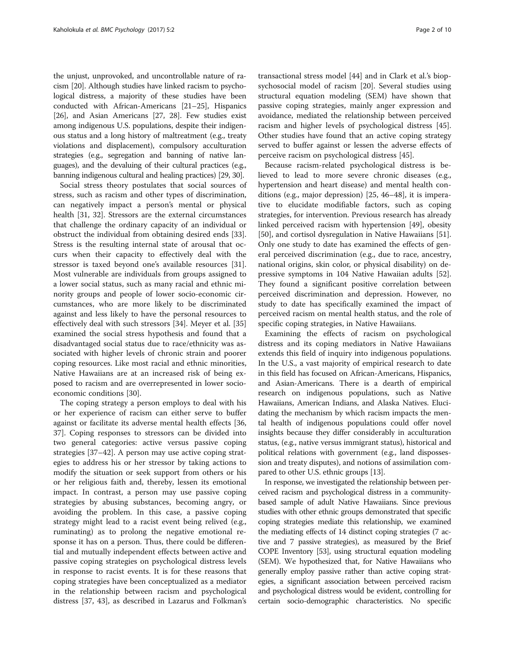the unjust, unprovoked, and uncontrollable nature of racism [20]. Although studies have linked racism to psychological distress, a majority of these studies have been conducted with African-Americans [21–25], Hispanics [26], and Asian Americans [27, 28]. Few studies exist among indigenous U.S. populations, despite their indigenous status and a long history of maltreatment (e.g., treaty violations and displacement), compulsory acculturation strategies (e.g., segregation and banning of native languages), and the devaluing of their cultural practices (e.g., banning indigenous cultural and healing practices) [29, 30].

Social stress theory postulates that social sources of stress, such as racism and other types of discrimination, can negatively impact a person's mental or physical health [31, 32]. Stressors are the external circumstances that challenge the ordinary capacity of an individual or obstruct the individual from obtaining desired ends [33]. Stress is the resulting internal state of arousal that occurs when their capacity to effectively deal with the stressor is taxed beyond one's available resources [31]. Most vulnerable are individuals from groups assigned to a lower social status, such as many racial and ethnic minority groups and people of lower socio-economic circumstances, who are more likely to be discriminated against and less likely to have the personal resources to effectively deal with such stressors [34]. Meyer et al. [35] examined the social stress hypothesis and found that a disadvantaged social status due to race/ethnicity was associated with higher levels of chronic strain and poorer coping resources. Like most racial and ethnic minorities, Native Hawaiians are at an increased risk of being exposed to racism and are overrepresented in lower socioeconomic conditions [30].

The coping strategy a person employs to deal with his or her experience of racism can either serve to buffer against or facilitate its adverse mental health effects [36, 37]. Coping responses to stressors can be divided into two general categories: active versus passive coping strategies [37–42]. A person may use active coping strategies to address his or her stressor by taking actions to modify the situation or seek support from others or his or her religious faith and, thereby, lessen its emotional impact. In contrast, a person may use passive coping strategies by abusing substances, becoming angry, or avoiding the problem. In this case, a passive coping strategy might lead to a racist event being relived (e.g., ruminating) as to prolong the negative emotional response it has on a person. Thus, there could be differential and mutually independent effects between active and passive coping strategies on psychological distress levels in response to racist events. It is for these reasons that coping strategies have been conceptualized as a mediator in the relationship between racism and psychological distress [37, 43], as described in Lazarus and Folkman's transactional stress model [44] and in Clark et al.'s biopsychosocial model of racism [20]. Several studies using structural equation modeling (SEM) have shown that passive coping strategies, mainly anger expression and avoidance, mediated the relationship between perceived racism and higher levels of psychological distress [45]. Other studies have found that an active coping strategy served to buffer against or lessen the adverse effects of perceive racism on psychological distress [45].

Because racism-related psychological distress is believed to lead to more severe chronic diseases (e.g., hypertension and heart disease) and mental health conditions (e.g., major depression) [25, 46–48], it is imperative to elucidate modifiable factors, such as coping strategies, for intervention. Previous research has already linked perceived racism with hypertension [49], obesity [50], and cortisol dysregulation in Native Hawaiians [51]. Only one study to date has examined the effects of general perceived discrimination (e.g., due to race, ancestry, national origins, skin color, or physical disability) on depressive symptoms in 104 Native Hawaiian adults [52]. They found a significant positive correlation between perceived discrimination and depression. However, no study to date has specifically examined the impact of perceived racism on mental health status, and the role of specific coping strategies, in Native Hawaiians.

Examining the effects of racism on psychological distress and its coping mediators in Native Hawaiians extends this field of inquiry into indigenous populations. In the U.S., a vast majority of empirical research to date in this field has focused on African-Americans, Hispanics, and Asian-Americans. There is a dearth of empirical research on indigenous populations, such as Native Hawaiians, American Indians, and Alaska Natives. Elucidating the mechanism by which racism impacts the mental health of indigenous populations could offer novel insights because they differ considerably in acculturation status, (e.g., native versus immigrant status), historical and political relations with government (e.g., land dispossession and treaty disputes), and notions of assimilation compared to other U.S. ethnic groups [13].

In response, we investigated the relationship between perceived racism and psychological distress in a communitybased sample of adult Native Hawaiians. Since previous studies with other ethnic groups demonstrated that specific coping strategies mediate this relationship, we examined the mediating effects of 14 distinct coping strategies (7 active and 7 passive strategies), as measured by the Brief COPE Inventory [53], using structural equation modeling (SEM). We hypothesized that, for Native Hawaiians who generally employ passive rather than active coping strategies, a significant association between perceived racism and psychological distress would be evident, controlling for certain socio-demographic characteristics. No specific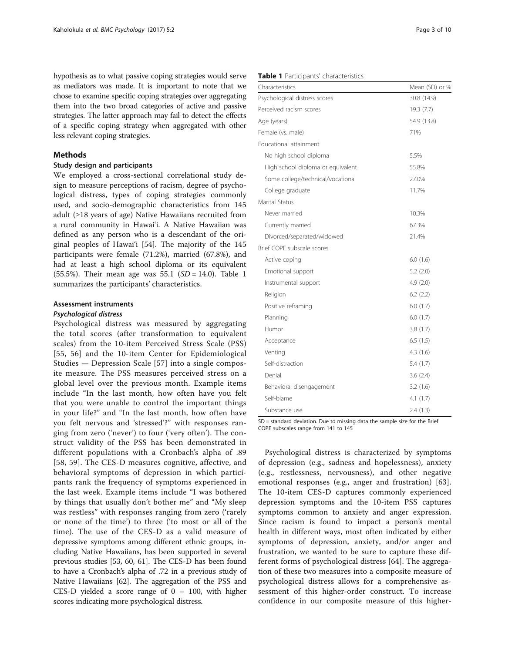hypothesis as to what passive coping strategies would serve as mediators was made. It is important to note that we chose to examine specific coping strategies over aggregating them into the two broad categories of active and passive strategies. The latter approach may fail to detect the effects of a specific coping strategy when aggregated with other less relevant coping strategies.

#### **Methods**

#### Study design and participants

We employed a cross-sectional correlational study design to measure perceptions of racism, degree of psychological distress, types of coping strategies commonly used, and socio-demographic characteristics from 145 adult (≥18 years of age) Native Hawaiians recruited from a rural community in Hawai'i. A Native Hawaiian was defined as any person who is a descendant of the original peoples of Hawai'i [54]. The majority of the 145 participants were female (71.2%), married (67.8%), and had at least a high school diploma or its equivalent (55.5%). Their mean age was 55.1 ( $SD = 14.0$ ). Table 1 summarizes the participants' characteristics.

#### Assessment instruments

#### Psychological distress

Psychological distress was measured by aggregating the total scores (after transformation to equivalent scales) from the 10-item Perceived Stress Scale (PSS) [55, 56] and the 10-item Center for Epidemiological Studies — Depression Scale [57] into a single composite measure. The PSS measures perceived stress on a global level over the previous month. Example items include "In the last month, how often have you felt that you were unable to control the important things in your life?" and "In the last month, how often have you felt nervous and 'stressed'?" with responses ranging from zero ('never') to four ('very often'). The construct validity of the PSS has been demonstrated in different populations with a Cronbach's alpha of .89 [58, 59]. The CES-D measures cognitive, affective, and behavioral symptoms of depression in which participants rank the frequency of symptoms experienced in the last week. Example items include "I was bothered by things that usually don't bother me" and "My sleep was restless" with responses ranging from zero ('rarely or none of the time') to three ('to most or all of the time). The use of the CES-D as a valid measure of depressive symptoms among different ethnic groups, including Native Hawaiians, has been supported in several previous studies [53, 60, 61]. The CES-D has been found to have a Cronbach's alpha of .72 in a previous study of Native Hawaiians [62]. The aggregation of the PSS and CES-D yielded a score range of  $0 - 100$ , with higher scores indicating more psychological distress.

#### Table 1 Participants' characteristics

| Characteristics                   | Mean (SD) or % |  |  |  |  |  |  |
|-----------------------------------|----------------|--|--|--|--|--|--|
| Psychological distress scores     | 30.8 (14.9)    |  |  |  |  |  |  |
| Perceived racism scores           | 19.3(7.7)      |  |  |  |  |  |  |
| Age (years)                       | 54.9 (13.8)    |  |  |  |  |  |  |
| Female (vs. male)                 | 71%            |  |  |  |  |  |  |
| Educational attainment            |                |  |  |  |  |  |  |
| No high school diploma            | 5.5%           |  |  |  |  |  |  |
| High school diploma or equivalent | 55.8%          |  |  |  |  |  |  |
| Some college/technical/vocational | 27.0%          |  |  |  |  |  |  |
| College graduate                  | 11.7%          |  |  |  |  |  |  |
| Marital Status                    |                |  |  |  |  |  |  |
| Never married                     | 10.3%          |  |  |  |  |  |  |
| Currently married                 | 67.3%          |  |  |  |  |  |  |
| Divorced/separated/widowed        | 21.4%          |  |  |  |  |  |  |
| Brief COPE subscale scores        |                |  |  |  |  |  |  |
| Active coping                     | 6.0(1.6)       |  |  |  |  |  |  |
| Emotional support                 | 5.2(2.0)       |  |  |  |  |  |  |
| Instrumental support              | 4.9(2.0)       |  |  |  |  |  |  |
| Religion                          | 6.2(2.2)       |  |  |  |  |  |  |
| Positive reframing                | 6.0(1.7)       |  |  |  |  |  |  |
| Planning                          | 6.0(1.7)       |  |  |  |  |  |  |
| Humor                             | 3.8(1.7)       |  |  |  |  |  |  |
| Acceptance                        | 6.5(1.5)       |  |  |  |  |  |  |
| Venting                           | 4.3(1.6)       |  |  |  |  |  |  |
| Self-distraction                  | 5.4(1.7)       |  |  |  |  |  |  |
| Denial                            | 3.6(2.4)       |  |  |  |  |  |  |
| Behavioral disengagement          | 3.2(1.6)       |  |  |  |  |  |  |
| Self-blame                        | 4.1(1.7)       |  |  |  |  |  |  |
| Substance use                     | 2.4(1.3)       |  |  |  |  |  |  |
|                                   |                |  |  |  |  |  |  |

SD = standard deviation. Due to missing data the sample size for the Brief COPE subscales range from 141 to 145

Psychological distress is characterized by symptoms of depression (e.g., sadness and hopelessness), anxiety (e.g., restlessness, nervousness), and other negative emotional responses (e.g., anger and frustration) [63]. The 10-item CES-D captures commonly experienced depression symptoms and the 10-item PSS captures symptoms common to anxiety and anger expression. Since racism is found to impact a person's mental health in different ways, most often indicated by either symptoms of depression, anxiety, and/or anger and frustration, we wanted to be sure to capture these different forms of psychological distress [64]. The aggregation of these two measures into a composite measure of psychological distress allows for a comprehensive assessment of this higher-order construct. To increase confidence in our composite measure of this higher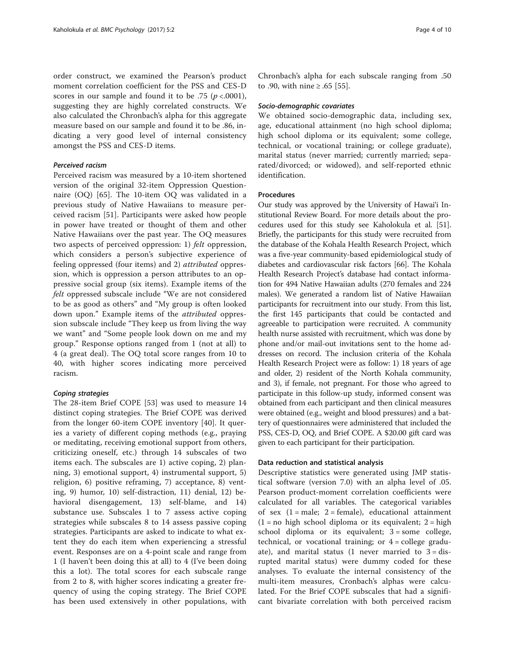order construct, we examined the Pearson's product moment correlation coefficient for the PSS and CES-D scores in our sample and found it to be .75 ( $p < .0001$ ), suggesting they are highly correlated constructs. We also calculated the Chronbach's alpha for this aggregate measure based on our sample and found it to be .86, indicating a very good level of internal consistency amongst the PSS and CES-D items.

#### Perceived racism

Perceived racism was measured by a 10-item shortened version of the original 32-item Oppression Questionnaire (OQ) [65]. The 10-item OQ was validated in a previous study of Native Hawaiians to measure perceived racism [51]. Participants were asked how people in power have treated or thought of them and other Native Hawaiians over the past year. The OQ measures two aspects of perceived oppression: 1) felt oppression, which considers a person's subjective experience of feeling oppressed (four items) and 2) *attributed* oppression, which is oppression a person attributes to an oppressive social group (six items). Example items of the felt oppressed subscale include "We are not considered to be as good as others" and "My group is often looked down upon." Example items of the attributed oppression subscale include "They keep us from living the way we want" and "Some people look down on me and my group." Response options ranged from 1 (not at all) to 4 (a great deal). The OQ total score ranges from 10 to 40, with higher scores indicating more perceived racism.

#### Coping strategies

The 28-item Brief COPE [53] was used to measure 14 distinct coping strategies. The Brief COPE was derived from the longer 60-item COPE inventory [40]. It queries a variety of different coping methods (e.g., praying or meditating, receiving emotional support from others, criticizing oneself, etc.) through 14 subscales of two items each. The subscales are 1) active coping, 2) planning, 3) emotional support, 4) instrumental support, 5) religion, 6) positive reframing, 7) acceptance, 8) venting, 9) humor, 10) self-distraction, 11) denial, 12) behavioral disengagement, 13) self-blame, and 14) substance use. Subscales 1 to 7 assess active coping strategies while subscales 8 to 14 assess passive coping strategies. Participants are asked to indicate to what extent they do each item when experiencing a stressful event. Responses are on a 4-point scale and range from 1 (I haven't been doing this at all) to 4 (I've been doing this a lot). The total scores for each subscale range from 2 to 8, with higher scores indicating a greater frequency of using the coping strategy. The Brief COPE has been used extensively in other populations, with

Chronbach's alpha for each subscale ranging from .50 to .90, with nine ≥ .65 [55].

#### Socio-demographic covariates

We obtained socio-demographic data, including sex, age, educational attainment (no high school diploma; high school diploma or its equivalent; some college, technical, or vocational training; or college graduate), marital status (never married; currently married; separated/divorced; or widowed), and self-reported ethnic identification.

#### Procedures

Our study was approved by the University of Hawai'i Institutional Review Board. For more details about the procedures used for this study see Kaholokula et al. [51]. Briefly, the participants for this study were recruited from the database of the Kohala Health Research Project, which was a five-year community-based epidemiological study of diabetes and cardiovascular risk factors [66]. The Kohala Health Research Project's database had contact information for 494 Native Hawaiian adults (270 females and 224 males). We generated a random list of Native Hawaiian participants for recruitment into our study. From this list, the first 145 participants that could be contacted and agreeable to participation were recruited. A community health nurse assisted with recruitment, which was done by phone and/or mail-out invitations sent to the home addresses on record. The inclusion criteria of the Kohala Health Research Project were as follow: 1) 18 years of age and older, 2) resident of the North Kohala community, and 3), if female, not pregnant. For those who agreed to participate in this follow-up study, informed consent was obtained from each participant and then clinical measures were obtained (e.g., weight and blood pressures) and a battery of questionnaires were administered that included the PSS, CES-D, OQ, and Brief COPE. A \$20.00 gift card was given to each participant for their participation.

#### Data reduction and statistical analysis

Descriptive statistics were generated using JMP statistical software (version 7.0) with an alpha level of .05. Pearson product-moment correlation coefficients were calculated for all variables. The categorical variables of sex  $(1 = male; 2 = female)$ , educational attainment  $(1 = no$  high school diploma or its equivalent;  $2 = high$ school diploma or its equivalent;  $3 =$ some college, technical, or vocational training; or  $4 =$  college graduate), and marital status (1 never married to  $3 = dis$ rupted marital status) were dummy coded for these analyses. To evaluate the internal consistency of the multi-item measures, Cronbach's alphas were calculated. For the Brief COPE subscales that had a significant bivariate correlation with both perceived racism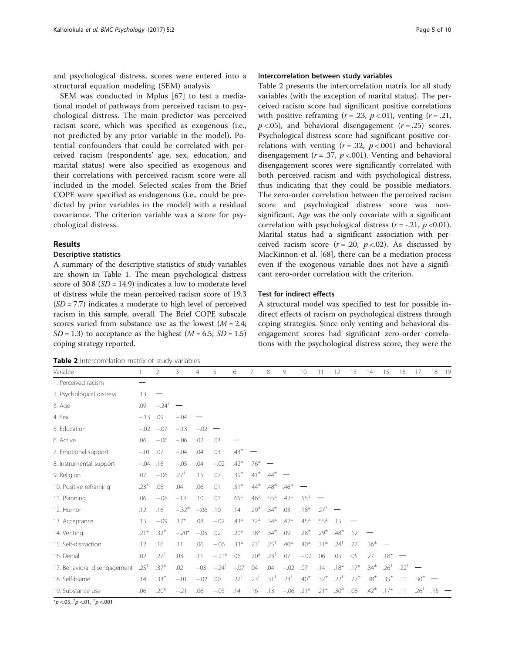and psychological distress, scores were entered into a structural equation modeling (SEM) analysis.

SEM was conducted in Mplus [67] to test a mediational model of pathways from perceived racism to psychological distress. The main predictor was perceived racism score, which was specified as exogenous (i.e., not predicted by any prior variable in the model). Potential confounders that could be correlated with perceived racism (respondents' age, sex, education, and marital status) were also specified as exogenous and their correlations with perceived racism score were all included in the model. Selected scales from the Brief COPE were specified as endogenous (i.e., could be predicted by prior variables in the model) with a residual covariance. The criterion variable was a score for psychological distress.

#### Results

#### Descriptive statistics

A summary of the descriptive statistics of study variables are shown in Table 1. The mean psychological distress score of 30.8  $(SD = 14.9)$  indicates a low to moderate level of distress while the mean perceived racism score of 19.3  $(SD = 7.7)$  indicates a moderate to high level of perceived racism in this sample, overall. The Brief COPE subscale scores varied from substance use as the lowest  $(M = 2.4$ ;  $SD = 1.3$ ) to acceptance as the highest ( $M = 6.5$ ;  $SD = 1.5$ ) coping strategy reported.

Table 2 Intercorrelation matrix of study variables

#### Intercorrelation between study variables

Table 2 presents the intercorrelation matrix for all study variables (with the exception of marital status). The perceived racism score had significant positive correlations with positive reframing  $(r=.23, p < .01)$ , venting  $(r=.21,$  $p \lt 0.05$ , and behavioral disengagement ( $r = .25$ ) scores. Psychological distress score had significant positive correlations with venting  $(r=.32, p < .001)$  and behavioral disengagement ( $r = .37$ ,  $p < .001$ ). Venting and behavioral disengagement scores were significantly correlated with both perceived racism and with psychological distress, thus indicating that they could be possible mediators. The zero-order correlation between the perceived racism score and psychological distress score was nonsignificant. Age was the only covariate with a significant correlation with psychological distress  $(r = -.21, p < 0.01)$ . Marital status had a significant association with perceived racism score ( $r = .20$ ,  $p < .02$ ). As discussed by MacKinnon et al. [68], there can be a mediation process even if the exogenous variable does not have a significant zero-order correlation with the criterion.

#### Test for indirect effects

A structural model was specified to test for possible indirect effects of racism on psychological distress through coping strategies. Since only venting and behavioral disengagement scores had significant zero-order correlations with the psychological distress score, they were the

| $\frac{1}{2}$<br>Variable    |           | $\overline{2}$      | 3            | 4      | 5                   | 6           | 7                | 8                | 9                | 10               | 11              | 12               | 13          | 14          | 15          | 16              | 17               | 18  | -19 |
|------------------------------|-----------|---------------------|--------------|--------|---------------------|-------------|------------------|------------------|------------------|------------------|-----------------|------------------|-------------|-------------|-------------|-----------------|------------------|-----|-----|
| 1. Perceived racism          |           |                     |              |        |                     |             |                  |                  |                  |                  |                 |                  |             |             |             |                 |                  |     |     |
| 2. Psychological distress    |           |                     |              |        |                     |             |                  |                  |                  |                  |                 |                  |             |             |             |                 |                  |     |     |
|                              | .13       |                     |              |        |                     |             |                  |                  |                  |                  |                 |                  |             |             |             |                 |                  |     |     |
| 3. Age                       | .09       | $-.24$ <sup>†</sup> |              |        |                     |             |                  |                  |                  |                  |                 |                  |             |             |             |                 |                  |     |     |
| 4. Sex                       | $-.13$    | .09                 | $-.04$       |        |                     |             |                  |                  |                  |                  |                 |                  |             |             |             |                 |                  |     |     |
| 5. Education                 | $-.02$    | $-.07$              | $-.13$       | $-.02$ |                     |             |                  |                  |                  |                  |                 |                  |             |             |             |                 |                  |     |     |
| 6. Active                    | .06       | $-.06$              | $-.06$       | .02    | .03                 |             |                  |                  |                  |                  |                 |                  |             |             |             |                 |                  |     |     |
| 7. Emotional support         | $-.01$    | .07                 | $-.04$       | .04    | .03                 | $.43^{\pm}$ |                  |                  |                  |                  |                 |                  |             |             |             |                 |                  |     |     |
| 8. Instrumental support      | $-.04$    | .16                 | $-.05$       | .04    | $-.02$              | $.42^{\pm}$ | $.76^{\pm}$      |                  |                  |                  |                 |                  |             |             |             |                 |                  |     |     |
| 9. Religion                  | .07       | $-.06$              | $.27^{+}$    | .15    | .07                 | $.39^{\pm}$ | $.41^{\pm}$      | $.44^{\pm}$      |                  |                  |                 |                  |             |             |             |                 |                  |     |     |
| 10. Positive reframing       | $.23^{+}$ | .08                 | .04          | .06    | .01                 | $.51^{\pm}$ | $.44^{\pm}$      | $.48^{\pm}$      | .46 <sup>±</sup> |                  |                 |                  |             |             |             |                 |                  |     |     |
| 11. Planning                 | .06       | $-.08$              | $-13$        | .10    | .01                 | $.65^{\pm}$ | .46 <sup>±</sup> | $.55^{\pm}$      | $.42^{\pm}$      | $.55^{\pm}$      |                 |                  |             |             |             |                 |                  |     |     |
| 12. Humor                    | .12       | .16                 | $-.32^{\pm}$ | $-.06$ | .10                 | .14         | $.29^{\pm}$      | $.34^{\pm}$      | .03              | $.18*$           | $.27^{\dagger}$ |                  |             |             |             |                 |                  |     |     |
| 13. Acceptance               | .15       | $-.09$              | $.17*$       | .08    | $-.02$              | $.43^{\pm}$ | $.32^{\pm}$      | $.34^{\pm}$      | $.42^{\pm}$      | $.45^{\pm}$      | $.55^{\pm}$     | .15              |             |             |             |                 |                  |     |     |
| 14. Venting                  | $.21*$    | $.32^{\pm}$         | $-.20*$      | $-.05$ | .02                 | $.20*$      | $.18*$           | $.34^{\pm}$      | .09              | $.28^{\pm}$      | $.29^{\pm}$     | $.48^{\pm}$      | .12         |             |             |                 |                  |     |     |
| 15. Self-distraction         | .12       | .16                 | .11          | .06    | $-.06$              | $.33^{\pm}$ | $.23^{+}$        | $.25^{+}$        | .40 <sup>±</sup> | .40 <sup>±</sup> | $.31^{\pm}$     | $.24^{+}$        | $.27^+$     | $.36^{\pm}$ |             |                 |                  |     |     |
| 16. Denial                   | .02       | $.27^{+}$           | .03          | .11    | $-.21*$             | .06         | $.20*$           | $.23^{+}$        | .07              | $-.02$           | .06             | .05              | .05         | $.27^+$     | $.18*$      |                 |                  |     |     |
| 17. Behavioral disengagement | $.25^{+}$ | $.37^{\pm}$         | .02          | $-03$  | $-.24$ <sup>†</sup> | $-.07$      | .04              | .04              | $-.02$           | .07              | .14             | $.18*$           | $.17*$      | $.34^{\pm}$ | $.26^+$     | $.22^{\dagger}$ |                  |     |     |
| 18. Self-blame               | .14       | $.33^{\pm}$         | $-.01$       | $-.02$ | .00                 | $.22^{+}$   | $.23^{+}$        | .31 <sup>†</sup> | $.23^{+}$        | .40 <sup>±</sup> | $.32^{\pm}$     | $.22^{+}$        | $.27^{\pm}$ | $.38^{\pm}$ | $.35^{\pm}$ | .11             | .30 <sup>±</sup> |     |     |
| 19. Substance use            | .06       | $.20*$              | $-.21$       | .06    | $-.03$              | .14         | .16              | .13              | $-.06$           | $.21*$           | $.21*$          | .30 <sup>±</sup> | .08         | $.42^{\pm}$ | $.17*$      | .11             | .26 <sup>†</sup> | .15 |     |

\* $p < .05, \, {}^{\dagger}p < .01, \, {}^{\pm}p < .001$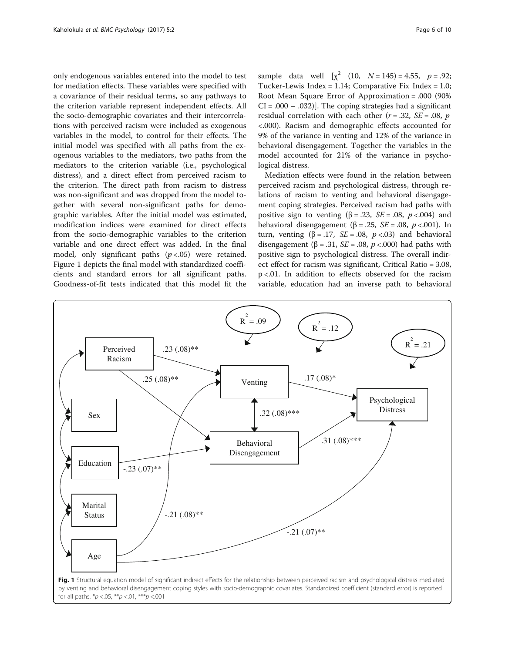only endogenous variables entered into the model to test for mediation effects. These variables were specified with a covariance of their residual terms, so any pathways to the criterion variable represent independent effects. All the socio-demographic covariates and their intercorrelations with perceived racism were included as exogenous variables in the model, to control for their effects. The initial model was specified with all paths from the exogenous variables to the mediators, two paths from the mediators to the criterion variable (i.e., psychological distress), and a direct effect from perceived racism to the criterion. The direct path from racism to distress was non-significant and was dropped from the model together with several non-significant paths for demographic variables. After the initial model was estimated, modification indices were examined for direct effects from the socio-demographic variables to the criterion variable and one direct effect was added. In the final model, only significant paths  $(p < .05)$  were retained. Figure 1 depicts the final model with standardized coefficients and standard errors for all significant paths. Goodness-of-fit tests indicated that this model fit the sample data well  $[x^2 (10, N = 145) = 4.55, p = .92;$ Tucker-Lewis Index = 1.14; Comparative Fix Index = 1.0; Root Mean Square Error of Approximation = .000 (90%  $CI = .000 - .032$ ]. The coping strategies had a significant residual correlation with each other  $(r = .32, SE = .08, p)$ <.000). Racism and demographic effects accounted for 9% of the variance in venting and 12% of the variance in behavioral disengagement. Together the variables in the model accounted for 21% of the variance in psychological distress.

Mediation effects were found in the relation between perceived racism and psychological distress, through relations of racism to venting and behavioral disengagement coping strategies. Perceived racism had paths with positive sign to venting ( $\beta = .23$ ,  $SE = .08$ ,  $p < .004$ ) and behavioral disengagement (β = .25, *SE* = .08, *p* <.001). In turn, venting (β = .17,  $SE = .08$ ,  $p < .03$ ) and behavioral disengagement ( $\beta$  = .31, *SE* = .08, *p* <.000) had paths with positive sign to psychological distress. The overall indirect effect for racism was significant, Critical Ratio = 3.08, p <.01. In addition to effects observed for the racism variable, education had an inverse path to behavioral

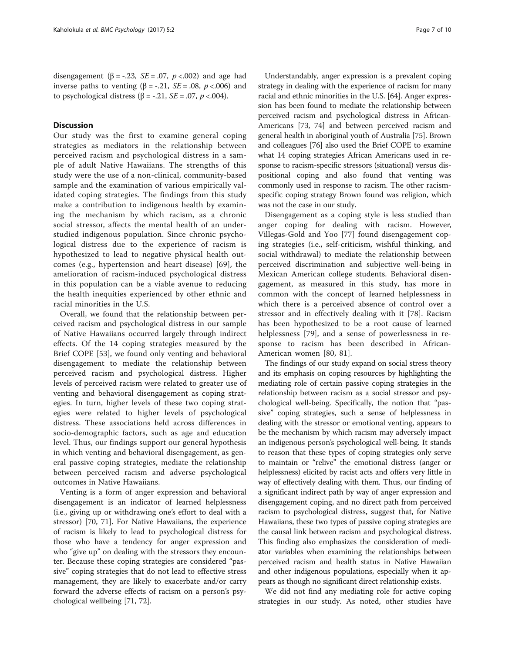disengagement ( $\beta$  = -.23, *SE* = .07, *p* <.002) and age had inverse paths to venting (β = -.21, *SE* = .08, *p* <.006) and to psychological distress ( $\beta$  = -.21, *SE* = .07, *p* <.004).

#### **Discussion**

Our study was the first to examine general coping strategies as mediators in the relationship between perceived racism and psychological distress in a sample of adult Native Hawaiians. The strengths of this study were the use of a non-clinical, community-based sample and the examination of various empirically validated coping strategies. The findings from this study make a contribution to indigenous health by examining the mechanism by which racism, as a chronic social stressor, affects the mental health of an understudied indigenous population. Since chronic psychological distress due to the experience of racism is hypothesized to lead to negative physical health outcomes (e.g., hypertension and heart disease) [69], the amelioration of racism-induced psychological distress in this population can be a viable avenue to reducing the health inequities experienced by other ethnic and racial minorities in the U.S.

Overall, we found that the relationship between perceived racism and psychological distress in our sample of Native Hawaiians occurred largely through indirect effects. Of the 14 coping strategies measured by the Brief COPE [53], we found only venting and behavioral disengagement to mediate the relationship between perceived racism and psychological distress. Higher levels of perceived racism were related to greater use of venting and behavioral disengagement as coping strategies. In turn, higher levels of these two coping strategies were related to higher levels of psychological distress. These associations held across differences in socio-demographic factors, such as age and education level. Thus, our findings support our general hypothesis in which venting and behavioral disengagement, as general passive coping strategies, mediate the relationship between perceived racism and adverse psychological outcomes in Native Hawaiians.

Venting is a form of anger expression and behavioral disengagement is an indicator of learned helplessness (i.e., giving up or withdrawing one's effort to deal with a stressor) [70, 71]. For Native Hawaiians, the experience of racism is likely to lead to psychological distress for those who have a tendency for anger expression and who "give up" on dealing with the stressors they encounter. Because these coping strategies are considered "passive" coping strategies that do not lead to effective stress management, they are likely to exacerbate and/or carry forward the adverse effects of racism on a person's psychological wellbeing [71, 72].

Understandably, anger expression is a prevalent coping strategy in dealing with the experience of racism for many racial and ethnic minorities in the U.S. [64]. Anger expression has been found to mediate the relationship between perceived racism and psychological distress in African-Americans [73, 74] and between perceived racism and general health in aboriginal youth of Australia [75]. Brown and colleagues [76] also used the Brief COPE to examine what 14 coping strategies African Americans used in response to racism-specific stressors (situational) versus dispositional coping and also found that venting was commonly used in response to racism. The other racismspecific coping strategy Brown found was religion, which was not the case in our study.

Disengagement as a coping style is less studied than anger coping for dealing with racism. However, Villegas-Gold and Yoo [77] found disengagement coping strategies (i.e., self-criticism, wishful thinking, and social withdrawal) to mediate the relationship between perceived discrimination and subjective well-being in Mexican American college students. Behavioral disengagement, as measured in this study, has more in common with the concept of learned helplessness in which there is a perceived absence of control over a stressor and in effectively dealing with it [78]. Racism has been hypothesized to be a root cause of learned helplessness [79], and a sense of powerlessness in response to racism has been described in African-American women [80, 81].

The findings of our study expand on social stress theory and its emphasis on coping resources by highlighting the mediating role of certain passive coping strategies in the relationship between racism as a social stressor and psychological well-being. Specifically, the notion that "passive" coping strategies, such a sense of helplessness in dealing with the stressor or emotional venting, appears to be the mechanism by which racism may adversely impact an indigenous person's psychological well-being. It stands to reason that these types of coping strategies only serve to maintain or "relive" the emotional distress (anger or helplessness) elicited by racist acts and offers very little in way of effectively dealing with them. Thus, our finding of a significant indirect path by way of anger expression and disengagement coping, and no direct path from perceived racism to psychological distress, suggest that, for Native Hawaiians, these two types of passive coping strategies are the causal link between racism and psychological distress. This finding also emphasizes the consideration of mediator variables when examining the relationships between perceived racism and health status in Native Hawaiian and other indigenous populations, especially when it appears as though no significant direct relationship exists.

We did not find any mediating role for active coping strategies in our study. As noted, other studies have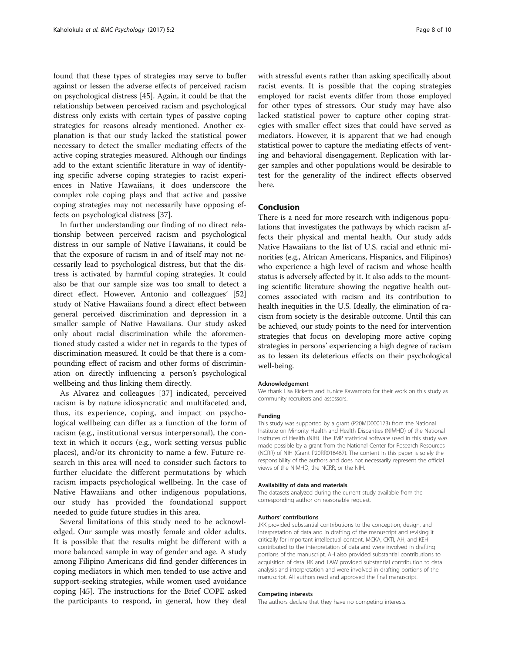found that these types of strategies may serve to buffer against or lessen the adverse effects of perceived racism on psychological distress [45]. Again, it could be that the relationship between perceived racism and psychological distress only exists with certain types of passive coping strategies for reasons already mentioned. Another explanation is that our study lacked the statistical power necessary to detect the smaller mediating effects of the active coping strategies measured. Although our findings add to the extant scientific literature in way of identifying specific adverse coping strategies to racist experiences in Native Hawaiians, it does underscore the complex role coping plays and that active and passive coping strategies may not necessarily have opposing effects on psychological distress [37].

In further understanding our finding of no direct relationship between perceived racism and psychological distress in our sample of Native Hawaiians, it could be that the exposure of racism in and of itself may not necessarily lead to psychological distress, but that the distress is activated by harmful coping strategies. It could also be that our sample size was too small to detect a direct effect. However, Antonio and colleagues' [52] study of Native Hawaiians found a direct effect between general perceived discrimination and depression in a smaller sample of Native Hawaiians. Our study asked only about racial discrimination while the aforementioned study casted a wider net in regards to the types of discrimination measured. It could be that there is a compounding effect of racism and other forms of discrimination on directly influencing a person's psychological wellbeing and thus linking them directly.

As Alvarez and colleagues [37] indicated, perceived racism is by nature idiosyncratic and multifaceted and, thus, its experience, coping, and impact on psychological wellbeing can differ as a function of the form of racism (e.g., institutional versus interpersonal), the context in which it occurs (e.g., work setting versus public places), and/or its chronicity to name a few. Future research in this area will need to consider such factors to further elucidate the different permutations by which racism impacts psychological wellbeing. In the case of Native Hawaiians and other indigenous populations, our study has provided the foundational support needed to guide future studies in this area.

Several limitations of this study need to be acknowledged. Our sample was mostly female and older adults. It is possible that the results might be different with a more balanced sample in way of gender and age. A study among Filipino Americans did find gender differences in coping mediators in which men tended to use active and support-seeking strategies, while women used avoidance coping [45]. The instructions for the Brief COPE asked the participants to respond, in general, how they deal with stressful events rather than asking specifically about racist events. It is possible that the coping strategies employed for racist events differ from those employed for other types of stressors. Our study may have also lacked statistical power to capture other coping strategies with smaller effect sizes that could have served as mediators. However, it is apparent that we had enough statistical power to capture the mediating effects of venting and behavioral disengagement. Replication with larger samples and other populations would be desirable to test for the generality of the indirect effects observed here.

#### Conclusion

There is a need for more research with indigenous populations that investigates the pathways by which racism affects their physical and mental health. Our study adds Native Hawaiians to the list of U.S. racial and ethnic minorities (e.g., African Americans, Hispanics, and Filipinos) who experience a high level of racism and whose health status is adversely affected by it. It also adds to the mounting scientific literature showing the negative health outcomes associated with racism and its contribution to health inequities in the U.S. Ideally, the elimination of racism from society is the desirable outcome. Until this can be achieved, our study points to the need for intervention strategies that focus on developing more active coping strategies in persons' experiencing a high degree of racism as to lessen its deleterious effects on their psychological well-being.

#### Acknowledgement

We thank Lisa Ricketts and Eunice Kawamoto for their work on this study as community recruiters and assessors.

#### Funding

This study was supported by a grant (P20MD000173) from the National Institute on Minority Health and Health Disparities (NIMHD) of the National Institutes of Health (NIH). The JMP statistical software used in this study was made possible by a grant from the National Center for Research Resources (NCRR) of NIH (Grant P20RR016467). The content in this paper is solely the responsibility of the authors and does not necessarily represent the official views of the NIMHD, the NCRR, or the NIH.

#### Availability of data and materials

The datasets analyzed during the current study available from the corresponding author on reasonable request.

#### Authors' contributions

JKK provided substantial contributions to the conception, design, and interpretation of data and in drafting of the manuscript and revising it critically for important intellectual content. MCKA, CKTI, AH, and KEH contributed to the interpretation of data and were involved in drafting portions of the manuscript. AH also provided substantial contributions to acquisition of data. RK and TAW provided substantial contribution to data analysis and interpretation and were involved in drafting portions of the manuscript. All authors read and approved the final manuscript.

#### Competing interests

The authors declare that they have no competing interests.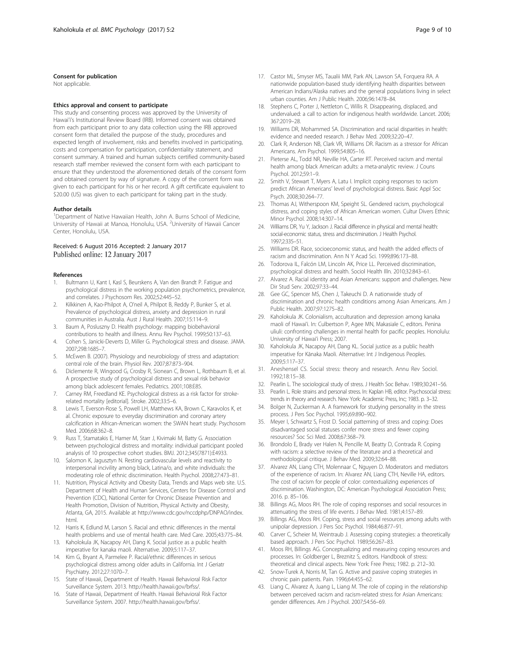#### Consent for publication

Not applicable.

#### Ethics approval and consent to participate

This study and consenting process was approved by the University of Hawai'i's Institutional Review Board (IRB). Informed consent was obtained from each participant prior to any data collection using the IRB approved consent form that detailed the purpose of the study, procedures and expected length of involvement, risks and benefits involved in participating, costs and compensation for participation, confidentiality statement, and consent summary. A trained and human subjects certified community-based research staff member reviewed the consent form with each participant to ensure that they understood the aforementioned details of the consent form and obtained consent by way of signature. A copy of the consent form was given to each participant for his or her record. A gift certificate equivalent to \$20.00 (US) was given to each participant for taking part in the study.

#### Author details

<sup>1</sup>Department of Native Hawaiian Health, John A. Burns School of Medicine, University of Hawaii at Manoa, Honolulu, USA. <sup>2</sup>University of Hawaii Cancer Center, Honolulu, USA.

#### Received: 6 August 2016 Accepted: 2 January 2017 Published online: 12 January 2017

#### References

- Bultmann U, Kant I, Kasl S, Beurskens A, Van den Brandt P. Fatigue and psychological distress in the working population psychometrics, prevalence, and correlates. J Psychosom Res. 2002;52:445–52.
- Kilkkinen A, Kao-Philpot A, O'neil A, Philpot B, Reddy P, Bunker S, et al. Prevalence of psychological distress, anxiety and depression in rural communities in Australia. Aust J Rural Health. 2007;15:114–9.
- 3. Baum A, Posluszny D. Health psychology: mapping biobehavioral contributions to health and illness. Annu Rev Psychol. 1999;50:137–63.
- 4. Cohen S, Janicki-Deverts D, Miller G. Psychological stress and disease. JAMA. 2007;298:1685–7.
- 5. McEwen B. (2007). Physiology and neurobiology of stress and adaptation: central role of the brain. Physiol Rev. 2007;87:873–904.
- 6. Diclemente R, Wingood G, Crosby R, Sionean C, Brown L, Rothbaum B, et al. A prospective study of psychological distress and sexual risk behavior among black adolescent females. Pediatrics. 2001;108:E85.
- 7. Carney RM, Freedland KE. Psychological distress as a risk factor for strokerelated mortality [editorial]. Stroke. 2002;33:5–6.
- 8. Lewis T, Everson-Rose S, Powell LH, Matthews KA, Brown C, Karavolos K, et al. Chronic exposure to everyday discrimination and coronary artery calcification in African-American women: the SWAN heart study. Psychosom Med. 2006;68:362–8.
- 9. Russ T, Stamatakis E, Hamer M, Starr J, Kivimaki M, Batty G. Association between psychological distress and mortality: individual participant pooled analysis of 10 prospective cohort studies. BMJ. 2012;345(7871):E4933.
- 10. Salomon K, Jagusztyn N. Resting cardiovascular levels and reactivity to interpersonal incivility among black, Latina/o, and white individuals: the moderating role of ethnic discrimination. Health Psychol. 2008;27:473–81.
- 11. Nutrition, Physical Activity and Obesity Data, Trends and Maps web site. U.S. Department of Health and Human Services, Centers for Disease Control and Prevention (CDC), National Center for Chronic Disease Prevention and Health Promotion, Division of Nutrition, Physical Activity and Obesity, Atlanta, GA, 2015. Available at http://www.cdc.gov/nccdphp/DNPAO/index. html.
- 12. Harris K, Edlund M, Larson S. Racial and ethnic differences in the mental health problems and use of mental health care. Med Care. 2005;43:775–84.
- 13. Kaholokula JK, Nacapoy AH, Dang K. Social justice as a public health imperative for kanaka maoli. Alternative. 2009;5:117–37.
- 14. Kim G, Bryant A, Parmelee P. Racial/ethnic differences in serious psychological distress among older adults in California. Int J Geriatr Psychiatry. 2012;27:1070–7.
- 15. State of Hawaii, Department of Health. Hawaii Behavioral Risk Factor Surveillance System. 2013. http://health.hawaii.gov/brfss/.
- 16. State of Hawaii, Department of Health. Hawaii Behavioral Risk Factor Surveillance System. 2007. http://health.hawaii.gov/brfss/.
- 17. Castor ML, Smyser MS, Taualii MM, Park AN, Lawson SA, Forquera RA. A nationwide population-based study identifying health disparities between American Indians/Alaska natives and the general populations living in select urban counties. Am J Public Health. 2006;96:1478–84.
- 18. Stephens C, Porter J, Nettleton C, Willis R. Disappearing, displaced, and undervalued: a call to action for indigenous health worldwide. Lancet. 2006; 367:2019–28.
- 19. Williams DR, Mohammed SA. Discrimination and racial disparities in health: evidence and needed research. J Behav Med. 2009;32:20–47.
- 20. Clark R, Anderson NB, Clark VR, Williams DR. Racism as a stressor for African Americans. Am Psychol. 1999;54:805–16.
- 21. Pieterse AL, Todd NR, Neville HA, Carter RT. Perceived racism and mental health among black American adults: a meta-analytic review. J Couns Psychol. 2012;59:1–9.
- 22. Smith V, Stewart T, Myers A, Latu I. Implicit coping responses to racism predict African Americans' level of psychological distress. Basic Appl Soc Psych. 2008;30:264–77.
- 23. Thomas AJ, Witherspoon KM, Speight SL. Gendered racism, psychological distress, and coping styles of African American women. Cultur Divers Ethnic Minor Psychol. 2008;14:307–14.
- 24. Williams DR, Yu Y, Jackson J. Racial difference in physical and mental health: social-economic status, stress and discrimination. J Health Psychol. 1997;2:335–51.
- 25. Williams DR. Race, socioeconomic status, and health the added effects of racism and discrimination. Ann N Y Acad Sci. 1999;896:173–88.
- 26. Todorova IL, Falcón LM, Lincoln AK, Price LL. Perceived discrimination, psychological distress and health. Sociol Health Illn. 2010;32:843–61.
- 27. Alvarez A. Racial identity and Asian Americans: support and challenges. New Dir Stud Serv. 2002;97:33–44.
- 28. Gee GC, Spencer MS, Chen J, Takeuchi D. A nationwide study of discrimination and chronic health conditions among Asian Americans. Am J Public Health. 2007;97:1275–82.
- 29. Kaholokula JK. Colonialism, acculturation and depression among kanaka maoli of Hawai'i. In: Culbertson P, Agee MN, Makasiale C, editors. Penina uliuli: confronting challenges in mental health for pacific peoples. Honolulu: University of Hawai'i Press; 2007.
- 30. Kaholokula JK, Nacapoy AH, Dang KL. Social justice as a public health imperative for Kānaka Maoli. Alternative: Int J Indigenous Peoples. 2009;5:117–37.
- 31. Aneshensel CS. Social stress: theory and research. Annu Rev Sociol. 1992;18:15–38.
- 32. Pearlin L. The sociological study of stress. J Health Soc Behav. 1989;30:241–56.
- 33. Pearlin L. Role strains and personal stress. In: Kaplan HB, editor. Psychosocial stress: trends in theory and research. New York: Academic Press, Inc; 1983. p. 3–32.
- Bolger N, Zuckerman A. A framework for studying personality in the stress process. J Pers Soc Psychol. 1995;69:890–902.
- 35. Meyer I, Schwartz S, Frost D. Social patterning of stress and coping: Does disadvantaged social statuses confer more stress and fewer coping resources? Soc Sci Med. 2008;67:368–79.
- 36. Brondolo E, Brady ver Halen N, Pencille M, Beatty D, Contrada R. Coping with racism: a selective review of the literature and a theoretical and methodological critique. J Behav Med. 2009;32:64–88.
- 37. Alvarez AN, Liang CTH, Molennaar C, Nguyen D. Moderators and mediators of the experience of racism. In: Alvarez AN, Liang CTH, Neville HA, editors. The cost of racism for people of color: contextualizing experiences of discrimination. Washington, DC: American Psychological Association Press; 2016. p. 85–106.
- 38. Billings AG, Moos RH. The role of coping responses and social resources in attenuating the stress of life events. J Behav Med. 1981;4:157–89.
- 39. Billings AG, Moos RH. Coping, stress and social resources among adults with unipolar depression. J Pers Soc Psychol. 1984;46:877–91.
- 40. Carver C, Scheier M, Weintraub J. Assessing coping strategies: a theoretically based approach. J Pers Soc Psychol. 1989;56:267–83.
- 41. Moos RH, Billings AG. Conceptualizing and measuring coping resources and processes. In: Goldberger L, Breznitz S, editors. Handbook of stress: theoretical and clinical aspects. New York: Free Press; 1982. p. 212–30.
- 42. Snow-Turek A, Norris M, Tan G. Active and passive coping strategies in chronic pain patients. Pain. 1996;64:455–62.
- 43. Liang C, Alvarez A, Juang L, Liang M. The role of coping in the relationship between perceived racism and racism-related stress for Asian Americans: gender differences. Am J Psychol. 2007;54:56–69.